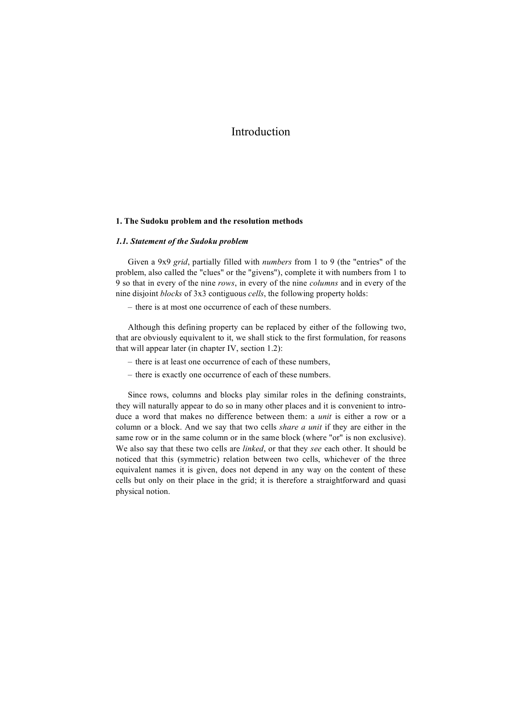## **1. The Sudoku problem and the resolution methods**

## *1.1. Statement of the Sudoku problem*

Given a 9x9 *grid*, partially filled with *numbers* from 1 to 9 (the "entries" of the problem, also called the "clues" or the "givens"), complete it with numbers from 1 to 9 so that in every of the nine *rows*, in every of the nine *columns* and in every of the nine disjoint *blocks* of 3x3 contiguous *cells*, the following property holds:

– there is at most one occurrence of each of these numbers.

Although this defining property can be replaced by either of the following two, that are obviously equivalent to it, we shall stick to the first formulation, for reasons that will appear later (in chapter IV, section 1.2):

- there is at least one occurrence of each of these numbers,
- there is exactly one occurrence of each of these numbers.

Since rows, columns and blocks play similar roles in the defining constraints, they will naturally appear to do so in many other places and it is convenient to introduce a word that makes no difference between them: a *unit* is either a row or a column or a block. And we say that two cells *share a unit* if they are either in the same row or in the same column or in the same block (where "or" is non exclusive). We also say that these two cells are *linked*, or that they *see* each other. It should be noticed that this (symmetric) relation between two cells, whichever of the three equivalent names it is given, does not depend in any way on the content of these cells but only on their place in the grid; it is therefore a straightforward and quasi physical notion.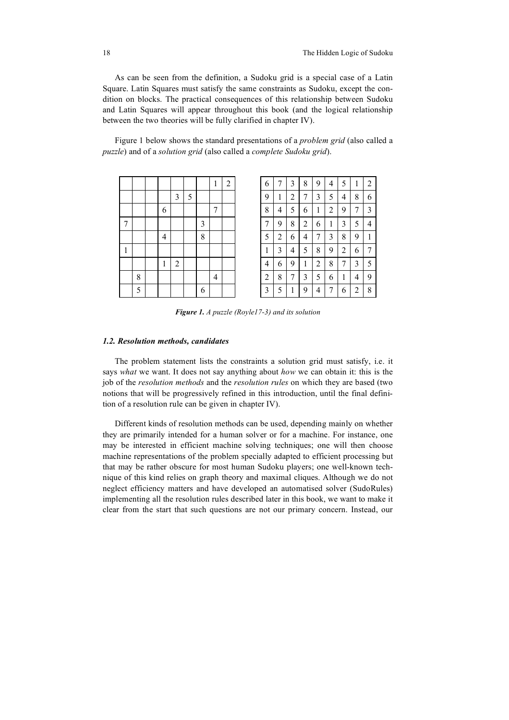As can be seen from the definition, a Sudoku grid is a special case of a Latin Square. Latin Squares must satisfy the same constraints as Sudoku, except the condition on blocks. The practical consequences of this relationship between Sudoku and Latin Squares will appear throughout this book (and the logical relationship between the two theories will be fully clarified in chapter IV).

Figure 1 below shows the standard presentations of a *problem grid* (also called a *puzzle*) and of a *solution grid* (also called a *complete Sudoku grid*).

|                |   |                |                |   |                         | $\mathbf{1}$             | $\overline{a}$ |
|----------------|---|----------------|----------------|---|-------------------------|--------------------------|----------------|
|                |   |                | $\mathfrak{Z}$ | 5 |                         |                          |                |
|                |   | 6              |                |   |                         | $\overline{7}$           |                |
| $\overline{7}$ |   |                |                |   | $\overline{\mathbf{3}}$ |                          |                |
|                |   | $\overline{4}$ |                |   | 8                       |                          |                |
| $\mathbf{1}$   |   |                |                |   |                         |                          |                |
|                |   | $\mathbf{1}$   | $\overline{c}$ |   |                         |                          |                |
|                | 8 |                |                |   |                         | $\overline{\mathcal{L}}$ |                |
|                | 5 |                |                |   | 6                       |                          |                |

|   |   |   |   |   |   |                | 2 | 6              | 7              | 3 | 8              | 9 | 4 | 5 |   | 2 |
|---|---|---|---|---|---|----------------|---|----------------|----------------|---|----------------|---|---|---|---|---|
|   |   |   | 3 | 5 |   |                |   | 9              | 1              | 2 | 7              | 3 | 5 | 4 | 8 | 6 |
|   |   | 6 |   |   |   | ┑              |   | 8              | 4              | 5 | 6              | 1 | 2 | 9 | 7 | 3 |
| 7 |   |   |   |   | 3 |                |   | 7              | 9              | 8 | $\overline{2}$ | 6 | 1 | 3 | 5 | 4 |
|   |   | 4 |   |   | 8 |                |   | 5              | $\overline{c}$ | 6 | 4              | 7 | 3 | 8 | 9 |   |
| 1 |   |   |   |   |   |                |   | 1              | 3              | 4 | 5              | 8 | 9 | 2 | 6 | 7 |
|   |   | 1 | 2 |   |   |                |   | $\overline{4}$ | 6              | 9 | 1              | 2 | 8 | 7 | 3 | 5 |
|   | 8 |   |   |   |   | $\overline{4}$ |   | $\overline{2}$ | 8              | 7 | 3              | 5 | 6 | 1 | 4 | 9 |
|   | 5 |   |   |   | 6 |                |   | 3              | 5              | 1 | 9              | 4 | 7 | 6 | 2 | 8 |

*Figure 1. A puzzle (Royle17-3) and its solution*

## *1.2. Resolution methods, candidates*

The problem statement lists the constraints a solution grid must satisfy, i.e. it says *what* we want. It does not say anything about *how* we can obtain it: this is the job of the *resolution methods* and the *resolution rules* on which they are based (two notions that will be progressively refined in this introduction, until the final definition of a resolution rule can be given in chapter IV).

Different kinds of resolution methods can be used, depending mainly on whether they are primarily intended for a human solver or for a machine. For instance, one may be interested in efficient machine solving techniques; one will then choose machine representations of the problem specially adapted to efficient processing but that may be rather obscure for most human Sudoku players; one well-known technique of this kind relies on graph theory and maximal cliques. Although we do not neglect efficiency matters and have developed an automatised solver (SudoRules) implementing all the resolution rules described later in this book, we want to make it clear from the start that such questions are not our primary concern. Instead, our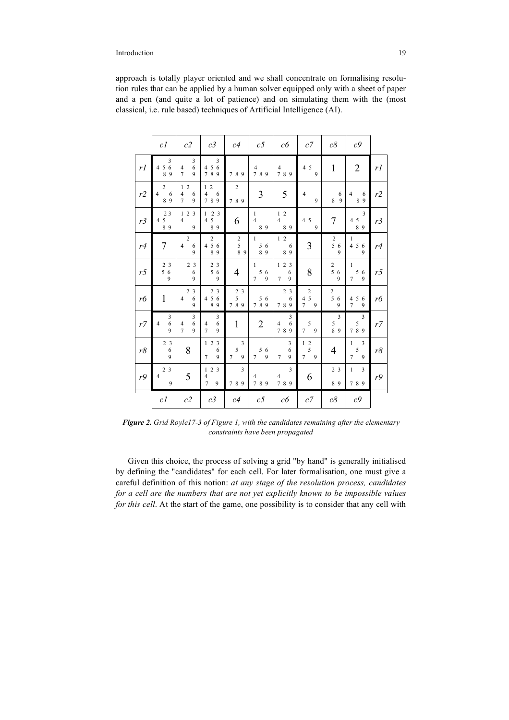approach is totally player oriented and we shall concentrate on formalising resolution rules that can be applied by a human solver equipped only with a sheet of paper and a pen (and quite a lot of patience) and on simulating them with the (most classical, i.e. rule based) techniques of Artificial Intelligence (AI).

|                | c <sub>I</sub>                              | c2                                                                      | c3                                                                                   | c4                                                                | $c5\,$                                               | c6                                       | $c7$                                                                             | $c\delta$                                    | c <sub>9</sub>                                           |                |
|----------------|---------------------------------------------|-------------------------------------------------------------------------|--------------------------------------------------------------------------------------|-------------------------------------------------------------------|------------------------------------------------------|------------------------------------------|----------------------------------------------------------------------------------|----------------------------------------------|----------------------------------------------------------|----------------|
| rl             | 3<br>6<br>4 5<br>8<br>9                     | 3<br>6<br>$\overline{4}$<br>$\overline{7}$<br>$\mathbf{Q}$              | 3<br>4 5 6<br>789                                                                    | 789                                                               | $\overline{4}$<br>789                                | $\overline{4}$<br>789                    | 4 5<br>9                                                                         | $\mathbf{1}$                                 | $\overline{2}$                                           | rl             |
| r2             | $\overline{2}$<br>$\overline{4}$<br>6<br>89 | 1 <sub>2</sub><br>$\overline{4}$<br>6<br>$\overline{7}$<br>$\mathbf{Q}$ | $\overline{c}$<br>$\mathbf{1}$<br>$\overline{4}$<br>6<br>789                         | $\overline{c}$<br>789                                             | 3                                                    | 5                                        | $\overline{4}$<br>9                                                              | 6<br>8<br>9                                  | 4<br>6<br>89                                             | r2             |
| r3             | 23<br>5<br>$\overline{4}$<br>89             | 123<br>$\overline{4}$<br>9                                              | $\begin{smallmatrix}2&3\\5\end{smallmatrix}$<br>$\mathbf{1}$<br>$\overline{4}$<br>89 | 6                                                                 | $\mathbf{1}$<br>$\overline{4}$<br>89                 | 12<br>$\overline{4}$<br>89               | 4 5<br>9                                                                         | 7                                            | 3<br>4 5<br>89                                           | r3             |
| r4             | $\overline{7}$                              | $\overline{c}$<br>$\overline{4}$<br>6<br>$\mathbf{Q}$                   | $\overline{c}$<br>5 6<br>$\overline{4}$<br>89                                        | $\boldsymbol{2}$<br>5<br>89                                       | $\mathbf{1}$<br>5<br>6<br>89                         | $1\quad2$<br>6<br>89                     | 3                                                                                | $\sqrt{2}$<br>56<br>$\mathbf{Q}$             | $\mathbf{1}$<br>4 5<br>6<br>$\mathbf{Q}$                 | r4             |
| r <sub>5</sub> | 2 3<br>$5\,6$<br>9                          | 2 <sub>3</sub><br>6<br>9                                                | 2 <sub>3</sub><br>5 6<br>9                                                           | 4                                                                 | 1<br>5<br>6<br>9<br>$\overline{7}$                   | 123<br>6<br>9<br>$\overline{7}$          | 8                                                                                | $\begin{array}{c} 2 \\ 5 \end{array} 6$<br>9 | $\mathbf{1}$<br>5<br>6<br>$\overline{7}$<br>9            | r <sub>5</sub> |
| r6             | $\mathbf{1}$                                | $\overline{c}$<br>$\overline{\mathbf{3}}$<br>6<br>$\overline{4}$<br>9   | 2 <sub>3</sub><br>$4\,5$<br>6<br>89                                                  | 2 <sub>3</sub><br>$\begin{array}{c} 5 \\ 8 \end{array}$<br>$\tau$ | $\begin{array}{cc} & 5 & 6 \\ 7 & 8 & 9 \end{array}$ | 2 <sub>3</sub><br>6<br>89<br>$\tau$      | $rac{2}{5}$<br>$\frac{4}{7}$<br>9                                                | $\boldsymbol{2}$<br>56<br>9                  | 4 5<br>6<br>$\overline{7}$<br>$\mathbf{Q}$               | rб             |
| r7             | 3<br>6<br>$\overline{4}$<br>$\mathbf{Q}$    | 3<br>6<br>$\overline{4}$<br>$\overline{7}$<br>$\mathbf{Q}$              | 3<br>6<br>$\overline{4}$<br>$\overline{7}$<br>$\mathbf{Q}$                           | $\mathbf{1}$                                                      | $\overline{2}$                                       | 3<br>$\overline{4}$<br>6<br>789          | 5<br>$\overline{7}$<br>9                                                         | 3<br>5<br>89                                 | 3<br>5<br>789                                            | r7             |
| r8             | 2 <sub>3</sub><br>6<br>9                    | 8                                                                       | $\overline{\mathbf{3}}$<br>12<br>6<br>$\mathbf{Q}$<br>$\overline{7}$                 | 3<br>5<br>$\overline{7}$<br>9                                     | 5<br>6<br>$\mathbf{Q}$<br>$\overline{7}$             | 3<br>6<br>$\mathbf{Q}$<br>$\overline{7}$ | $\begin{array}{cc} 1 & 2 \\ 5 & \end{array}$<br>7 <sup>7</sup><br>$\overline{9}$ | 4                                            | 3<br>$\mathbf{1}$<br>5<br>$\overline{7}$<br>$\mathbf{Q}$ | r8             |
| r9             | 2 <sub>3</sub><br>$\overline{4}$<br>9       | 5                                                                       | 2 <sub>3</sub><br>$\mathbf{1}$<br>4<br>$\overline{7}$<br>9                           | 3<br>789                                                          | 4<br>789                                             | $\overline{3}$<br>$\overline{4}$<br>789  | 6                                                                                | 2 <sub>3</sub><br>89                         | $\mathbf{1}$<br>3<br>789                                 | r9             |
|                | c <sub>l</sub>                              | c2                                                                      | c3                                                                                   | c4                                                                | c5                                                   | c6                                       | $c7\,$                                                                           | $c\delta$                                    | $c\mathcal{G}$                                           |                |

*Figure 2. Grid Royle17-3 of Figure 1, with the candidates remaining after the elementary constraints have been propagated*

Given this choice, the process of solving a grid "by hand" is generally initialised by defining the "candidates" for each cell. For later formalisation, one must give a careful definition of this notion: *at any stage of the resolution process, candidates for a cell are the numbers that are not yet explicitly known to be impossible values for this cell*. At the start of the game, one possibility is to consider that any cell with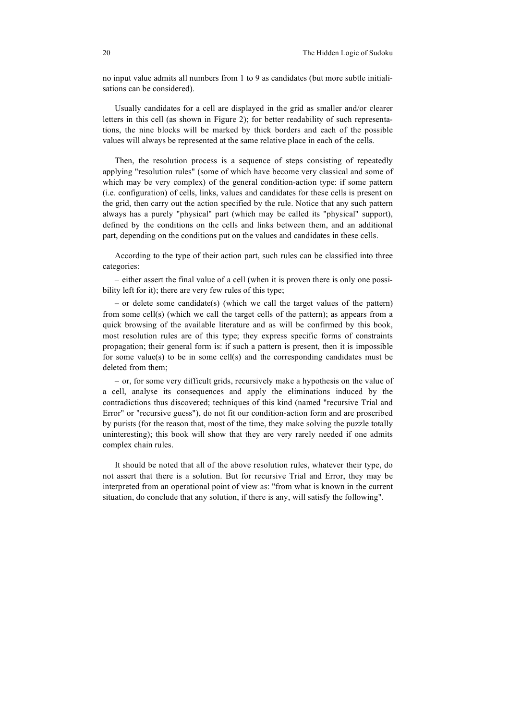no input value admits all numbers from 1 to 9 as candidates (but more subtle initialisations can be considered).

Usually candidates for a cell are displayed in the grid as smaller and/or clearer letters in this cell (as shown in Figure 2); for better readability of such representations, the nine blocks will be marked by thick borders and each of the possible values will always be represented at the same relative place in each of the cells.

Then, the resolution process is a sequence of steps consisting of repeatedly applying "resolution rules" (some of which have become very classical and some of which may be very complex) of the general condition-action type: if some pattern (i.e. configuration) of cells, links, values and candidates for these cells is present on the grid, then carry out the action specified by the rule. Notice that any such pattern always has a purely "physical" part (which may be called its "physical" support), defined by the conditions on the cells and links between them, and an additional part, depending on the conditions put on the values and candidates in these cells.

According to the type of their action part, such rules can be classified into three categories:

– either assert the final value of a cell (when it is proven there is only one possibility left for it); there are very few rules of this type;

– or delete some candidate(s) (which we call the target values of the pattern) from some cell(s) (which we call the target cells of the pattern); as appears from a quick browsing of the available literature and as will be confirmed by this book, most resolution rules are of this type; they express specific forms of constraints propagation; their general form is: if such a pattern is present, then it is impossible for some value(s) to be in some cell(s) and the corresponding candidates must be deleted from them;

– or, for some very difficult grids, recursively make a hypothesis on the value of a cell, analyse its consequences and apply the eliminations induced by the contradictions thus discovered; techniques of this kind (named "recursive Trial and Error" or "recursive guess"), do not fit our condition-action form and are proscribed by purists (for the reason that, most of the time, they make solving the puzzle totally uninteresting); this book will show that they are very rarely needed if one admits complex chain rules.

It should be noted that all of the above resolution rules, whatever their type, do not assert that there is a solution. But for recursive Trial and Error, they may be interpreted from an operational point of view as: "from what is known in the current situation, do conclude that any solution, if there is any, will satisfy the following".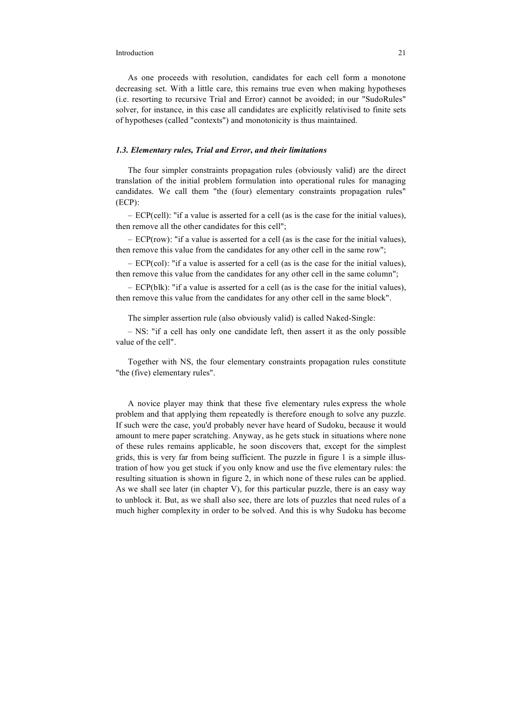As one proceeds with resolution, candidates for each cell form a monotone decreasing set. With a little care, this remains true even when making hypotheses (i.e. resorting to recursive Trial and Error) cannot be avoided; in our "SudoRules" solver, for instance, in this case all candidates are explicitly relativised to finite sets of hypotheses (called "contexts") and monotonicity is thus maintained.

## *1.3. Elementary rules, Trial and Error, and their limitations*

The four simpler constraints propagation rules (obviously valid) are the direct translation of the initial problem formulation into operational rules for managing candidates. We call them "the (four) elementary constraints propagation rules" (ECP):

– ECP(cell): "if a value is asserted for a cell (as is the case for the initial values), then remove all the other candidates for this cell";

 $-$  ECP(row): "if a value is asserted for a cell (as is the case for the initial values), then remove this value from the candidates for any other cell in the same row";

– ECP(col): "if a value is asserted for a cell (as is the case for the initial values), then remove this value from the candidates for any other cell in the same column";

– ECP(blk): "if a value is asserted for a cell (as is the case for the initial values), then remove this value from the candidates for any other cell in the same block".

The simpler assertion rule (also obviously valid) is called Naked-Single:

– NS: "if a cell has only one candidate left, then assert it as the only possible value of the cell".

Together with NS, the four elementary constraints propagation rules constitute "the (five) elementary rules".

A novice player may think that these five elementary rules express the whole problem and that applying them repeatedly is therefore enough to solve any puzzle. If such were the case, you'd probably never have heard of Sudoku, because it would amount to mere paper scratching. Anyway, as he gets stuck in situations where none of these rules remains applicable, he soon discovers that, except for the simplest grids, this is very far from being sufficient. The puzzle in figure 1 is a simple illustration of how you get stuck if you only know and use the five elementary rules: the resulting situation is shown in figure 2, in which none of these rules can be applied. As we shall see later (in chapter V), for this particular puzzle, there is an easy way to unblock it. But, as we shall also see, there are lots of puzzles that need rules of a much higher complexity in order to be solved. And this is why Sudoku has become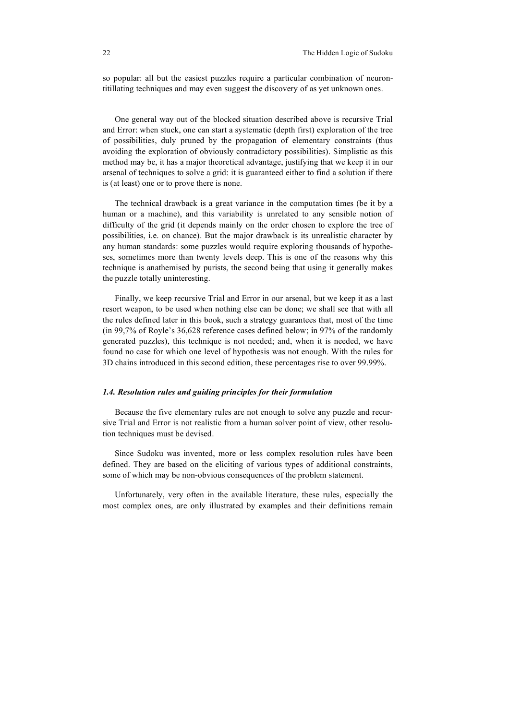so popular: all but the easiest puzzles require a particular combination of neurontitillating techniques and may even suggest the discovery of as yet unknown ones.

One general way out of the blocked situation described above is recursive Trial and Error: when stuck, one can start a systematic (depth first) exploration of the tree of possibilities, duly pruned by the propagation of elementary constraints (thus avoiding the exploration of obviously contradictory possibilities). Simplistic as this method may be, it has a major theoretical advantage, justifying that we keep it in our arsenal of techniques to solve a grid: it is guaranteed either to find a solution if there is (at least) one or to prove there is none.

The technical drawback is a great variance in the computation times (be it by a human or a machine), and this variability is unrelated to any sensible notion of difficulty of the grid (it depends mainly on the order chosen to explore the tree of possibilities, i.e. on chance). But the major drawback is its unrealistic character by any human standards: some puzzles would require exploring thousands of hypotheses, sometimes more than twenty levels deep. This is one of the reasons why this technique is anathemised by purists, the second being that using it generally makes the puzzle totally uninteresting.

Finally, we keep recursive Trial and Error in our arsenal, but we keep it as a last resort weapon, to be used when nothing else can be done; we shall see that with all the rules defined later in this book, such a strategy guarantees that, most of the time (in 99,7% of Royle's 36,628 reference cases defined below; in 97% of the randomly generated puzzles), this technique is not needed; and, when it is needed, we have found no case for which one level of hypothesis was not enough. With the rules for 3D chains introduced in this second edition, these percentages rise to over 99.99%.

#### *1.4. Resolution rules and guiding principles for their formulation*

Because the five elementary rules are not enough to solve any puzzle and recursive Trial and Error is not realistic from a human solver point of view, other resolution techniques must be devised.

Since Sudoku was invented, more or less complex resolution rules have been defined. They are based on the eliciting of various types of additional constraints, some of which may be non-obvious consequences of the problem statement.

Unfortunately, very often in the available literature, these rules, especially the most complex ones, are only illustrated by examples and their definitions remain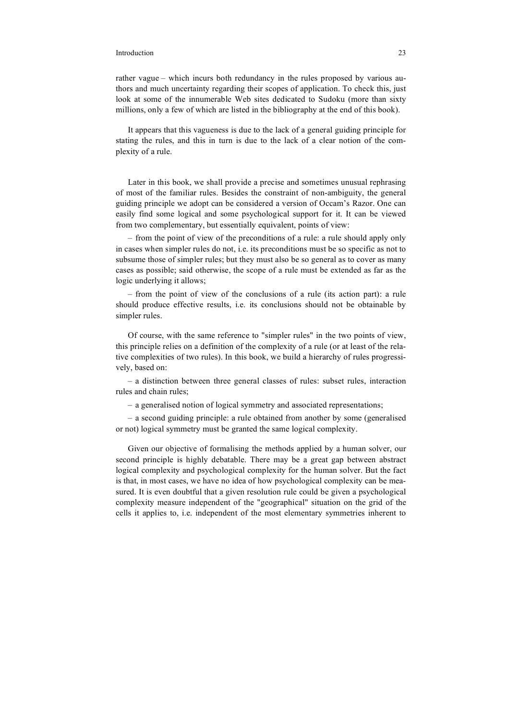rather vague – which incurs both redundancy in the rules proposed by various authors and much uncertainty regarding their scopes of application. To check this, just look at some of the innumerable Web sites dedicated to Sudoku (more than sixty millions, only a few of which are listed in the bibliography at the end of this book).

It appears that this vagueness is due to the lack of a general guiding principle for stating the rules, and this in turn is due to the lack of a clear notion of the complexity of a rule.

Later in this book, we shall provide a precise and sometimes unusual rephrasing of most of the familiar rules. Besides the constraint of non-ambiguity, the general guiding principle we adopt can be considered a version of Occam's Razor. One can easily find some logical and some psychological support for it. It can be viewed from two complementary, but essentially equivalent, points of view:

– from the point of view of the preconditions of a rule: a rule should apply only in cases when simpler rules do not, i.e. its preconditions must be so specific as not to subsume those of simpler rules; but they must also be so general as to cover as many cases as possible; said otherwise, the scope of a rule must be extended as far as the logic underlying it allows;

– from the point of view of the conclusions of a rule (its action part): a rule should produce effective results, i.e. its conclusions should not be obtainable by simpler rules.

Of course, with the same reference to "simpler rules" in the two points of view, this principle relies on a definition of the complexity of a rule (or at least of the relative complexities of two rules). In this book, we build a hierarchy of rules progressively, based on:

– a distinction between three general classes of rules: subset rules, interaction rules and chain rules;

– a generalised notion of logical symmetry and associated representations;

– a second guiding principle: a rule obtained from another by some (generalised or not) logical symmetry must be granted the same logical complexity.

Given our objective of formalising the methods applied by a human solver, our second principle is highly debatable. There may be a great gap between abstract logical complexity and psychological complexity for the human solver. But the fact is that, in most cases, we have no idea of how psychological complexity can be measured. It is even doubtful that a given resolution rule could be given a psychological complexity measure independent of the "geographical" situation on the grid of the cells it applies to, i.e. independent of the most elementary symmetries inherent to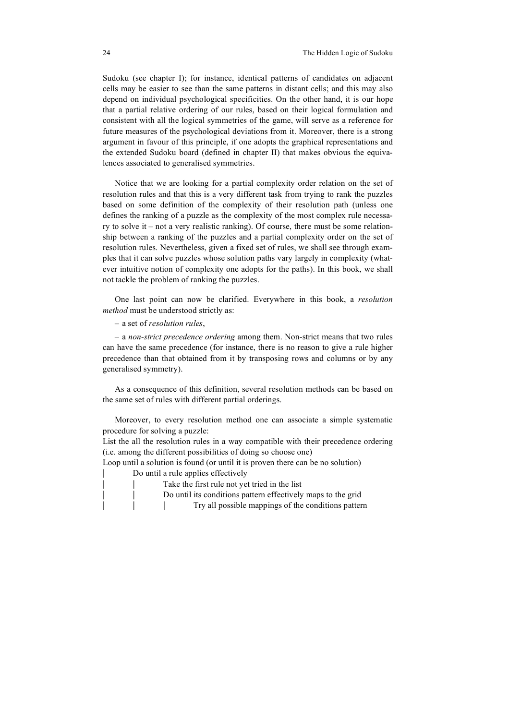Sudoku (see chapter I); for instance, identical patterns of candidates on adjacent cells may be easier to see than the same patterns in distant cells; and this may also depend on individual psychological specificities. On the other hand, it is our hope that a partial relative ordering of our rules, based on their logical formulation and consistent with all the logical symmetries of the game, will serve as a reference for future measures of the psychological deviations from it. Moreover, there is a strong argument in favour of this principle, if one adopts the graphical representations and the extended Sudoku board (defined in chapter II) that makes obvious the equivalences associated to generalised symmetries.

Notice that we are looking for a partial complexity order relation on the set of resolution rules and that this is a very different task from trying to rank the puzzles based on some definition of the complexity of their resolution path (unless one defines the ranking of a puzzle as the complexity of the most complex rule necessary to solve it – not a very realistic ranking). Of course, there must be some relationship between a ranking of the puzzles and a partial complexity order on the set of resolution rules. Nevertheless, given a fixed set of rules, we shall see through examples that it can solve puzzles whose solution paths vary largely in complexity (whatever intuitive notion of complexity one adopts for the paths). In this book, we shall not tackle the problem of ranking the puzzles.

One last point can now be clarified. Everywhere in this book, a *resolution method* must be understood strictly as:

– a set of *resolution rules*,

– a *non-strict precedence ordering* among them. Non-strict means that two rules can have the same precedence (for instance, there is no reason to give a rule higher precedence than that obtained from it by transposing rows and columns or by any generalised symmetry).

As a consequence of this definition, several resolution methods can be based on the same set of rules with different partial orderings.

Moreover, to every resolution method one can associate a simple systematic procedure for solving a puzzle:

List the all the resolution rules in a way compatible with their precedence ordering (i.e. among the different possibilities of doing so choose one)

Loop until a solution is found (or until it is proven there can be no solution)

 Do until a rule applies effectively Take the first rule not yet tried in the list Do until its conditions pattern effectively maps to the grid Try all possible mappings of the conditions pattern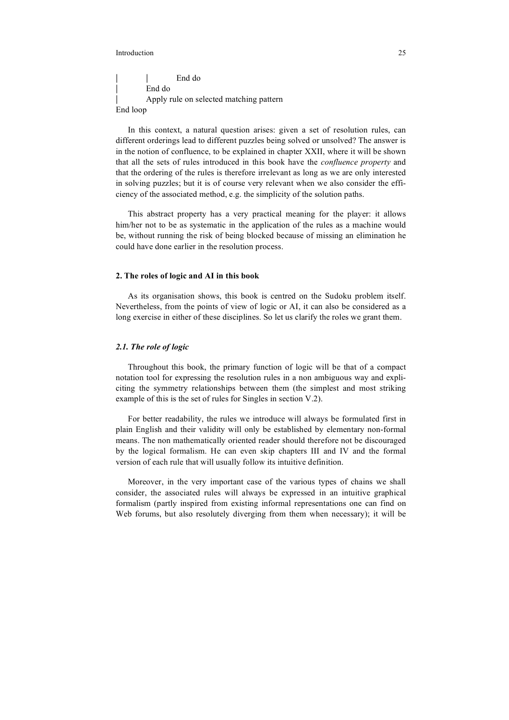End do End do Apply rule on selected matching pattern End loop

In this context, a natural question arises: given a set of resolution rules, can different orderings lead to different puzzles being solved or unsolved? The answer is in the notion of confluence, to be explained in chapter XXII, where it will be shown that all the sets of rules introduced in this book have the *confluence property* and that the ordering of the rules is therefore irrelevant as long as we are only interested in solving puzzles; but it is of course very relevant when we also consider the efficiency of the associated method, e.g. the simplicity of the solution paths.

This abstract property has a very practical meaning for the player: it allows him/her not to be as systematic in the application of the rules as a machine would be, without running the risk of being blocked because of missing an elimination he could have done earlier in the resolution process.

## **2. The roles of logic and AI in this book**

As its organisation shows, this book is centred on the Sudoku problem itself. Nevertheless, from the points of view of logic or AI, it can also be considered as a long exercise in either of these disciplines. So let us clarify the roles we grant them.

### *2.1. The role of logic*

Throughout this book, the primary function of logic will be that of a compact notation tool for expressing the resolution rules in a non ambiguous way and expliciting the symmetry relationships between them (the simplest and most striking example of this is the set of rules for Singles in section V.2).

For better readability, the rules we introduce will always be formulated first in plain English and their validity will only be established by elementary non-formal means. The non mathematically oriented reader should therefore not be discouraged by the logical formalism. He can even skip chapters III and IV and the formal version of each rule that will usually follow its intuitive definition.

Moreover, in the very important case of the various types of chains we shall consider, the associated rules will always be expressed in an intuitive graphical formalism (partly inspired from existing informal representations one can find on Web forums, but also resolutely diverging from them when necessary); it will be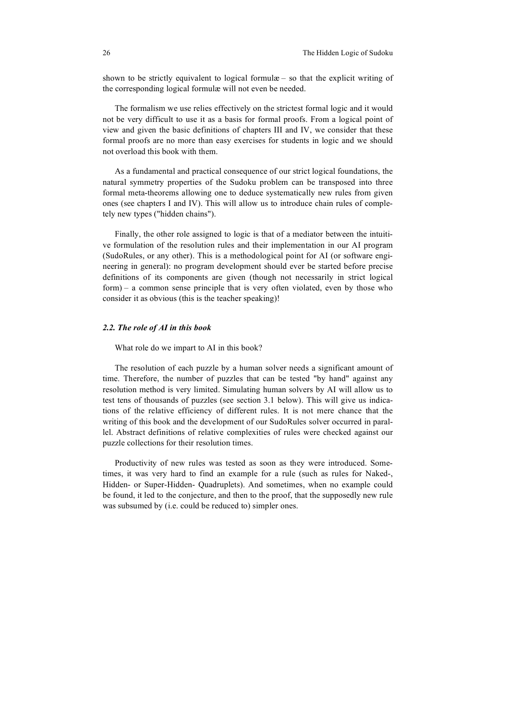shown to be strictly equivalent to logical formulæ – so that the explicit writing of the corresponding logical formulæ will not even be needed.

The formalism we use relies effectively on the strictest formal logic and it would not be very difficult to use it as a basis for formal proofs. From a logical point of view and given the basic definitions of chapters III and IV, we consider that these formal proofs are no more than easy exercises for students in logic and we should not overload this book with them.

As a fundamental and practical consequence of our strict logical foundations, the natural symmetry properties of the Sudoku problem can be transposed into three formal meta-theorems allowing one to deduce systematically new rules from given ones (see chapters I and IV). This will allow us to introduce chain rules of completely new types ("hidden chains").

Finally, the other role assigned to logic is that of a mediator between the intuitive formulation of the resolution rules and their implementation in our AI program (SudoRules, or any other). This is a methodological point for AI (or software engineering in general): no program development should ever be started before precise definitions of its components are given (though not necessarily in strict logical form) – a common sense principle that is very often violated, even by those who consider it as obvious (this is the teacher speaking)!

#### *2.2. The role of AI in this book*

What role do we impart to AI in this book?

The resolution of each puzzle by a human solver needs a significant amount of time. Therefore, the number of puzzles that can be tested "by hand" against any resolution method is very limited. Simulating human solvers by AI will allow us to test tens of thousands of puzzles (see section 3.1 below). This will give us indications of the relative efficiency of different rules. It is not mere chance that the writing of this book and the development of our SudoRules solver occurred in parallel. Abstract definitions of relative complexities of rules were checked against our puzzle collections for their resolution times.

Productivity of new rules was tested as soon as they were introduced. Sometimes, it was very hard to find an example for a rule (such as rules for Naked-, Hidden- or Super-Hidden- Quadruplets). And sometimes, when no example could be found, it led to the conjecture, and then to the proof, that the supposedly new rule was subsumed by (i.e. could be reduced to) simpler ones.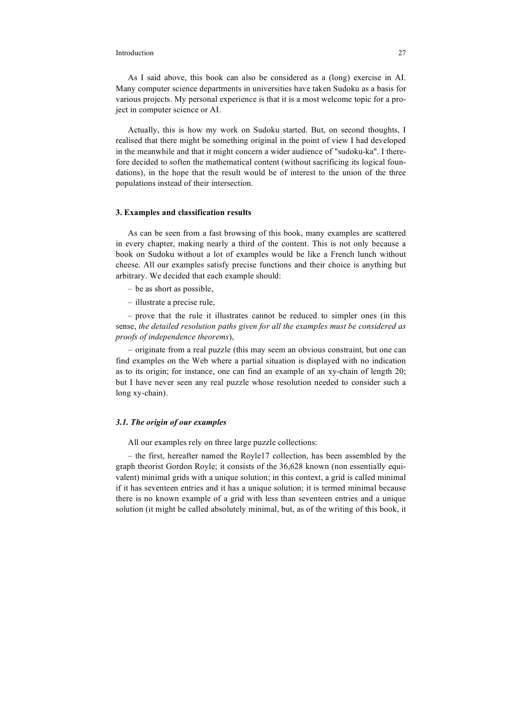As I said above, this book can also be considered as a (long) exercise in AI. Many computer science departments in universities have taken Sudoku as a basis for various projects. My personal experience is that it is a most welcome topic for a project in computer science or AI.

Actually, this is how my work on Sudoku started. But, on second thoughts, I realised that there might be something original in the point of view I had developed in the meanwhile and that it might concern a wider audience of "sudoku-ka". I therefore decided to soften the mathematical content (without sacrificing its logical foundations), in the hope that the result would be of interest to the union of the three populations instead of their intersection.

## **3. Examples and classification results**

As can be seen from a fast browsing of this book, many examples are scattered in every chapter, making nearly a third of the content. This is not only because a book on Sudoku without a lot of examples would be like a French lunch without cheese. All our examples satisfy precise functions and their choice is anything but arbitrary. We decided that each example should:

- be as short as possible,
- illustrate a precise rule,

– prove that the rule it illustrates cannot be reduced to simpler ones (in this sense, *the detailed resolution paths given for all the examples must be considered as proofs of independence theorems*),

– originate from a real puzzle (this may seem an obvious constraint, but one can find examples on the Web where a partial situation is displayed with no indication as to its origin; for instance, one can find an example of an xy-chain of length 20; but I have never seen any real puzzle whose resolution needed to consider such a long xy-chain).

## *3.1. The origin of our examples*

All our examples rely on three large puzzle collections:

– the first, hereafter named the Royle17 collection, has been assembled by the graph theorist Gordon Royle; it consists of the 36,628 known (non essentially equivalent) minimal grids with a unique solution; in this context, a grid is called minimal if it has seventeen entries and it has a unique solution; it is termed minimal because there is no known example of a grid with less than seventeen entries and a unique solution (it might be called absolutely minimal, but, as of the writing of this book, it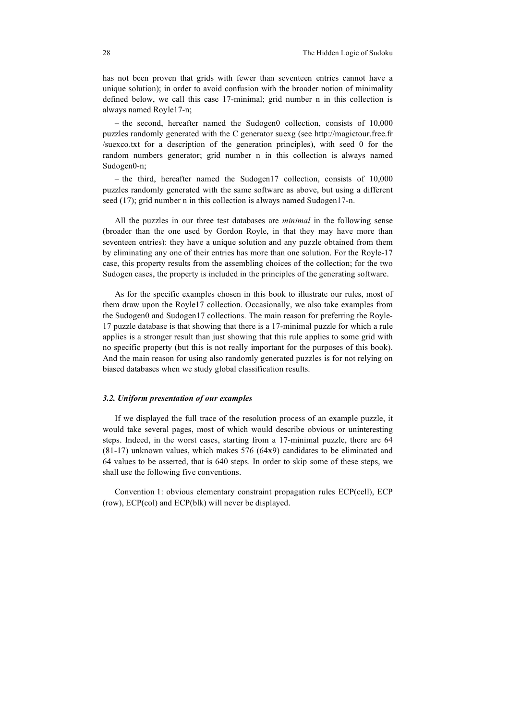has not been proven that grids with fewer than seventeen entries cannot have a unique solution); in order to avoid confusion with the broader notion of minimality defined below, we call this case 17-minimal; grid number n in this collection is always named Royle17-n;

– the second, hereafter named the Sudogen0 collection, consists of 10,000 puzzles randomly generated with the C generator suexg (see http://magictour.free.fr /suexco.txt for a description of the generation principles), with seed 0 for the random numbers generator; grid number n in this collection is always named Sudogen0-n;

– the third, hereafter named the Sudogen17 collection, consists of 10,000 puzzles randomly generated with the same software as above, but using a different seed (17); grid number n in this collection is always named Sudogen17-n.

All the puzzles in our three test databases are *minimal* in the following sense (broader than the one used by Gordon Royle, in that they may have more than seventeen entries): they have a unique solution and any puzzle obtained from them by eliminating any one of their entries has more than one solution. For the Royle-17 case, this property results from the assembling choices of the collection; for the two Sudogen cases, the property is included in the principles of the generating software.

As for the specific examples chosen in this book to illustrate our rules, most of them draw upon the Royle17 collection. Occasionally, we also take examples from the Sudogen0 and Sudogen17 collections. The main reason for preferring the Royle-17 puzzle database is that showing that there is a 17-minimal puzzle for which a rule applies is a stronger result than just showing that this rule applies to some grid with no specific property (but this is not really important for the purposes of this book). And the main reason for using also randomly generated puzzles is for not relying on biased databases when we study global classification results.

## *3.2. Uniform presentation of our examples*

If we displayed the full trace of the resolution process of an example puzzle, it would take several pages, most of which would describe obvious or uninteresting steps. Indeed, in the worst cases, starting from a 17-minimal puzzle, there are 64 (81-17) unknown values, which makes 576 (64x9) candidates to be eliminated and 64 values to be asserted, that is 640 steps. In order to skip some of these steps, we shall use the following five conventions.

Convention 1: obvious elementary constraint propagation rules ECP(cell), ECP (row), ECP(col) and ECP(blk) will never be displayed.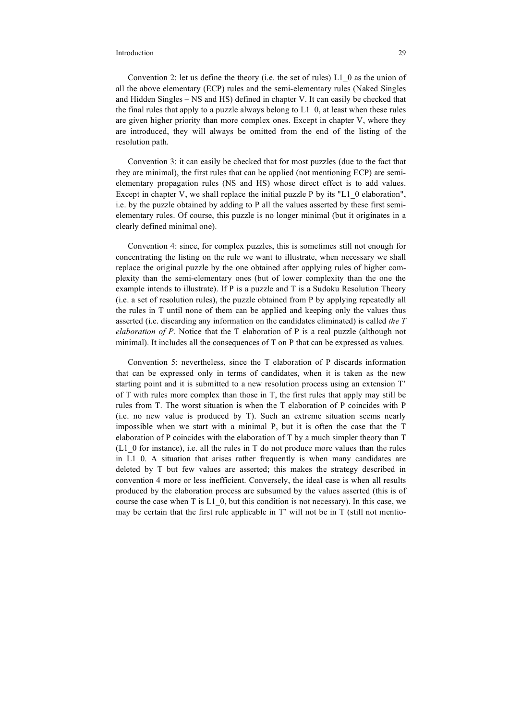Convention 2: let us define the theory (i.e. the set of rules) L1\_0 as the union of all the above elementary (ECP) rules and the semi-elementary rules (Naked Singles and Hidden Singles – NS and HS) defined in chapter V. It can easily be checked that the final rules that apply to a puzzle always belong to L1\_0, at least when these rules are given higher priority than more complex ones. Except in chapter V, where they are introduced, they will always be omitted from the end of the listing of the resolution path.

Convention 3: it can easily be checked that for most puzzles (due to the fact that they are minimal), the first rules that can be applied (not mentioning ECP) are semielementary propagation rules (NS and HS) whose direct effect is to add values. Except in chapter V, we shall replace the initial puzzle P by its "L1\_0 elaboration", i.e. by the puzzle obtained by adding to P all the values asserted by these first semielementary rules. Of course, this puzzle is no longer minimal (but it originates in a clearly defined minimal one).

Convention 4: since, for complex puzzles, this is sometimes still not enough for concentrating the listing on the rule we want to illustrate, when necessary we shall replace the original puzzle by the one obtained after applying rules of higher complexity than the semi-elementary ones (but of lower complexity than the one the example intends to illustrate). If P is a puzzle and T is a Sudoku Resolution Theory (i.e. a set of resolution rules), the puzzle obtained from P by applying repeatedly all the rules in T until none of them can be applied and keeping only the values thus asserted (i.e. discarding any information on the candidates eliminated) is called *the T elaboration of P*. Notice that the T elaboration of P is a real puzzle (although not minimal). It includes all the consequences of T on P that can be expressed as values.

Convention 5: nevertheless, since the T elaboration of P discards information that can be expressed only in terms of candidates, when it is taken as the new starting point and it is submitted to a new resolution process using an extension T' of T with rules more complex than those in T, the first rules that apply may still be rules from T. The worst situation is when the T elaboration of P coincides with P (i.e. no new value is produced by T). Such an extreme situation seems nearly impossible when we start with a minimal P, but it is often the case that the T elaboration of P coincides with the elaboration of T by a much simpler theory than T  $(L1_0$  for instance), i.e. all the rules in T do not produce more values than the rules in L1\_0. A situation that arises rather frequently is when many candidates are deleted by T but few values are asserted; this makes the strategy described in convention 4 more or less inefficient. Conversely, the ideal case is when all results produced by the elaboration process are subsumed by the values asserted (this is of course the case when T is L1\_0, but this condition is not necessary). In this case, we may be certain that the first rule applicable in T' will not be in T (still not mentio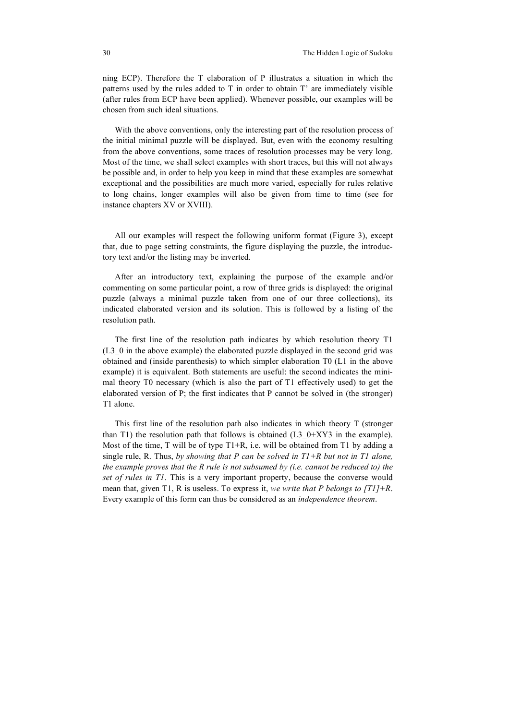ning ECP). Therefore the T elaboration of P illustrates a situation in which the patterns used by the rules added to T in order to obtain T' are immediately visible (after rules from ECP have been applied). Whenever possible, our examples will be chosen from such ideal situations.

With the above conventions, only the interesting part of the resolution process of the initial minimal puzzle will be displayed. But, even with the economy resulting from the above conventions, some traces of resolution processes may be very long. Most of the time, we shall select examples with short traces, but this will not always be possible and, in order to help you keep in mind that these examples are somewhat exceptional and the possibilities are much more varied, especially for rules relative to long chains, longer examples will also be given from time to time (see for instance chapters XV or XVIII).

All our examples will respect the following uniform format (Figure 3), except that, due to page setting constraints, the figure displaying the puzzle, the introductory text and/or the listing may be inverted.

After an introductory text, explaining the purpose of the example and/or commenting on some particular point, a row of three grids is displayed: the original puzzle (always a minimal puzzle taken from one of our three collections), its indicated elaborated version and its solution. This is followed by a listing of the resolution path.

The first line of the resolution path indicates by which resolution theory T1 (L3\_0 in the above example) the elaborated puzzle displayed in the second grid was obtained and (inside parenthesis) to which simpler elaboration T0 (L1 in the above example) it is equivalent. Both statements are useful: the second indicates the minimal theory T0 necessary (which is also the part of T1 effectively used) to get the elaborated version of P; the first indicates that P cannot be solved in (the stronger) T1 alone.

This first line of the resolution path also indicates in which theory T (stronger than T1) the resolution path that follows is obtained (L3\_0+XY3 in the example). Most of the time, T will be of type T1+R, i.e. will be obtained from T1 by adding a single rule, R. Thus, *by showing that P can be solved in T1+R but not in T1 alone, the example proves that the R rule is not subsumed by (i.e. cannot be reduced to) the set of rules in T1*. This is a very important property, because the converse would mean that, given T1, R is useless. To express it, *we write that P belongs to [T1]+R*. Every example of this form can thus be considered as an *independence theorem*.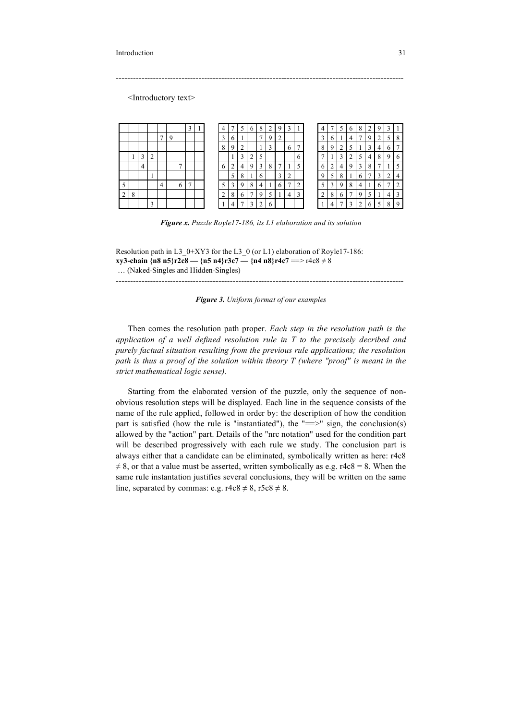<Introductory text>

|   |        |        |   |   |  |  |   |   | b | 8 | 2 | <b>g</b>          | 3              |   |   |   |   | O            | 8 |   |  |    |
|---|--------|--------|---|---|--|--|---|---|---|---|---|-------------------|----------------|---|---|---|---|--------------|---|---|--|----|
|   |        |        |   |   |  |  |   |   |   | π |   |                   |                |   |   |   |   | 4            |   |   |  | 8  |
|   |        |        |   |   |  |  |   |   |   |   | ◠ |                   | 6              | π | 8 |   |   |              |   |   |  |    |
|   | ◠<br>Ć | ◠<br>∠ |   |   |  |  |   |   |   |   |   |                   |                |   |   |   |   |              |   | ┭ |  | 6  |
|   | 4      |        |   | Ξ |  |  |   | 4 |   | 3 | 8 |                   |                |   | b |   | ┭ |              | 3 | 8 |  |    |
|   |        |        |   |   |  |  | 5 |   |   | b |   | $\mathbf{\hat{}}$ | 2              |   |   |   |   |              |   |   |  |    |
|   |        |        | 4 | 6 |  |  |   |   | 8 | 4 |   |                   | ⇁              |   |   |   |   | $\circ$      |   |   |  |    |
| 8 |        |        |   |   |  |  | 8 |   |   | ч | 5 |                   | $\overline{4}$ | P |   | 8 |   |              |   |   |  |    |
|   |        |        |   |   |  |  |   |   | 2 |   |   |                   |                |   |   | Λ |   | $\mathbf{r}$ |   |   |  | -9 |

-----------------------------------------------------------------------------------------------------

*Figure x. Puzzle Royle17-186, its L1 elaboration and its solution*

Resolution path in L3\_0+XY3 for the L3\_0 (or L1) elaboration of Royle17-186: **xy3-chain {n8 n5}r2c8 — {n5 n4}r3c7 — {n4 n8}r4c7** ==> r4c8 ≠ 8 … (Naked-Singles and Hidden-Singles)

-----------------------------------------------------------------------------------------------------

*Figure 3. Uniform format of our examples*

Then comes the resolution path proper. *Each step in the resolution path is the application of a well defined resolution rule in T to the precisely decribed and purely factual situation resulting from the previous rule applications; the resolution path is thus a proof of the solution within theory T (where "proof" is meant in the strict mathematical logic sense)*.

Starting from the elaborated version of the puzzle, only the sequence of nonobvious resolution steps will be displayed. Each line in the sequence consists of the name of the rule applied, followed in order by: the description of how the condition part is satisfied (how the rule is "instantiated"), the "== $>$ " sign, the conclusion(s) allowed by the "action" part. Details of the "nrc notation" used for the condition part will be described progressively with each rule we study. The conclusion part is always either that a candidate can be eliminated, symbolically written as here: r4c8  $\neq$  8, or that a value must be asserted, written symbolically as e.g. r4c8 = 8. When the same rule instantation justifies several conclusions, they will be written on the same line, separated by commas: e.g.  $r4c8 \neq 8$ ,  $r5c8 \neq 8$ .